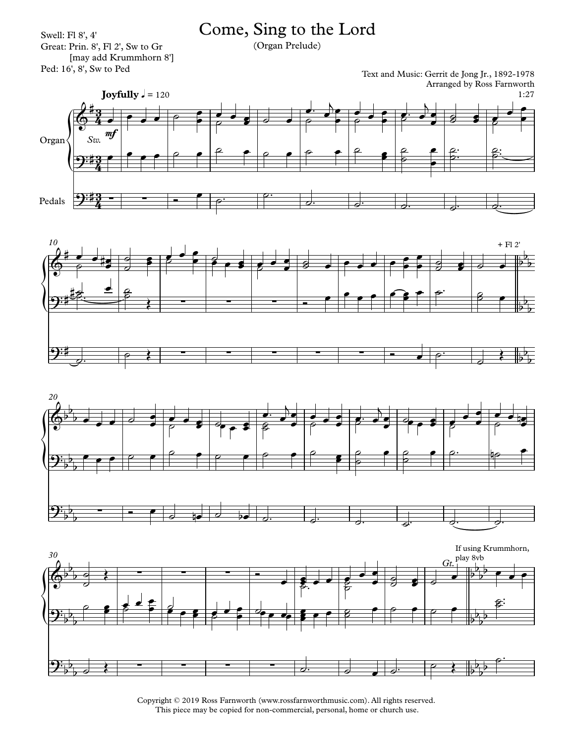## Come, Sing to the Lord

Swell: Fl 8', 4' Great: Prin. 8', Fl 2', Sw to Gr [may add Krummhorn 8']<br>Ped: 16', 8', Sw to Ped

(Organ Prelude)

Text and Music: Gerrit de Jong Jr., 1892-1978 Arranged by Ross Farnworth









Copyright © 2019 Ross Farnworth (www.rossfarnworthmusic.com). All rights reserved. This piece may be copied for non-commercial, personal, home or church use.